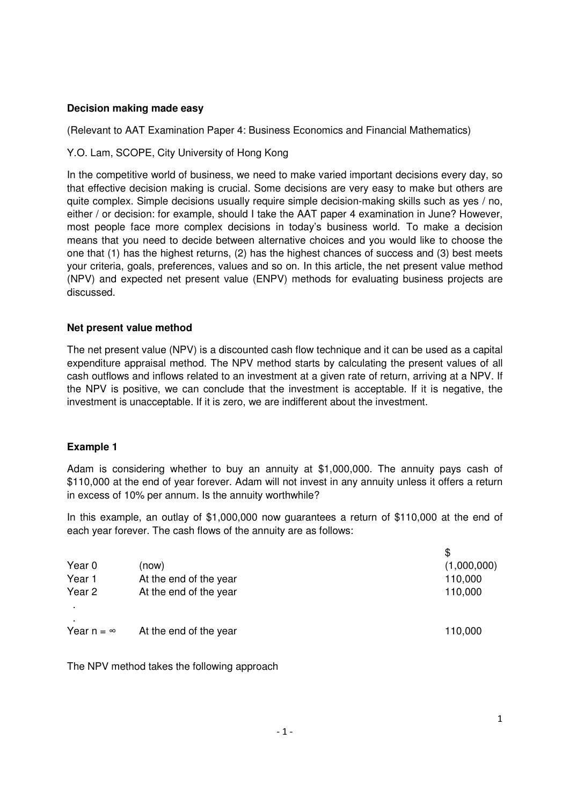## **Decision making made easy**

(Relevant to AAT Examination Paper 4: Business Economics and Financial Mathematics)

Y.O. Lam, SCOPE, City University of Hong Kong

In the competitive world of business, we need to make varied important decisions every day, so that effective decision making is crucial. Some decisions are very easy to make but others are quite complex. Simple decisions usually require simple decision-making skills such as yes / no, either / or decision: for example, should I take the AAT paper 4 examination in June? However, most people face more complex decisions in today's business world. To make a decision means that you need to decide between alternative choices and you would like to choose the one that (1) has the highest returns, (2) has the highest chances of success and (3) best meets your criteria, goals, preferences, values and so on. In this article, the net present value method (NPV) and expected net present value (ENPV) methods for evaluating business projects are discussed.

# **Net present value method**

The net present value (NPV) is a discounted cash flow technique and it can be used as a capital expenditure appraisal method. The NPV method starts by calculating the present values of all cash outflows and inflows related to an investment at a given rate of return, arriving at a NPV. If the NPV is positive, we can conclude that the investment is acceptable. If it is negative, the investment is unacceptable. If it is zero, we are indifferent about the investment.

# **Example 1**

Adam is considering whether to buy an annuity at \$1,000,000. The annuity pays cash of \$110,000 at the end of year forever. Adam will not invest in any annuity unless it offers a return in excess of 10% per annum. Is the annuity worthwhile?

In this example, an outlay of \$1,000,000 now guarantees a return of \$110,000 at the end of each year forever. The cash flows of the annuity are as follows:

| Year 0                   | (now)                  | (1,000,000) |
|--------------------------|------------------------|-------------|
| Year 1                   | At the end of the year | 110,000     |
| Year 2<br>$\blacksquare$ | At the end of the year | 110,000     |
| Year $n = \infty$        | At the end of the year | 110,000     |

The NPV method takes the following approach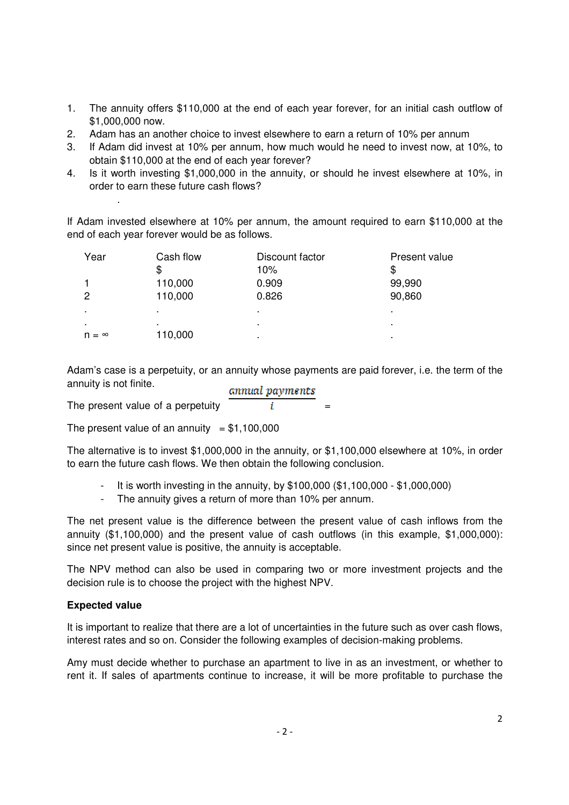- 1. The annuity offers \$110,000 at the end of each year forever, for an initial cash outflow of \$1,000,000 now.
- 2. Adam has an another choice to invest elsewhere to earn a return of 10% per annum
- 3. If Adam did invest at 10% per annum, how much would he need to invest now, at 10%, to obtain \$110,000 at the end of each year forever?
- 4. Is it worth investing \$1,000,000 in the annuity, or should he invest elsewhere at 10%, in order to earn these future cash flows?

If Adam invested elsewhere at 10% per annum, the amount required to earn \$110,000 at the end of each year forever would be as follows.

| Year           | Cash flow      | Discount factor<br>10% | Present value<br>S |
|----------------|----------------|------------------------|--------------------|
|                | 110,000        | 0.909                  | 99,990             |
| 2              | 110,000        | 0.826                  | 90,860             |
| $\bullet$      | $\blacksquare$ | ٠                      | ٠                  |
| $\blacksquare$ | $\blacksquare$ | ٠                      | ٠                  |
| $n = \infty$   | 110,000        |                        | ٠                  |

Adam's case is a perpetuity, or an annuity whose payments are paid forever, i.e. the term of the annuity is not finite. annual payments

The present value of a perpetuity  $\overline{i}$ 

The present value of an annuity  $= $1,100,000$ 

The alternative is to invest \$1,000,000 in the annuity, or \$1,100,000 elsewhere at 10%, in order to earn the future cash flows. We then obtain the following conclusion.

- It is worth investing in the annuity, by \$100,000 (\$1,100,000 \$1,000,000)
- The annuity gives a return of more than 10% per annum.

The net present value is the difference between the present value of cash inflows from the annuity (\$1,100,000) and the present value of cash outflows (in this example, \$1,000,000): since net present value is positive, the annuity is acceptable.

The NPV method can also be used in comparing two or more investment projects and the decision rule is to choose the project with the highest NPV.

#### **Expected value**

.

It is important to realize that there are a lot of uncertainties in the future such as over cash flows, interest rates and so on. Consider the following examples of decision-making problems.

Amy must decide whether to purchase an apartment to live in as an investment, or whether to rent it. If sales of apartments continue to increase, it will be more profitable to purchase the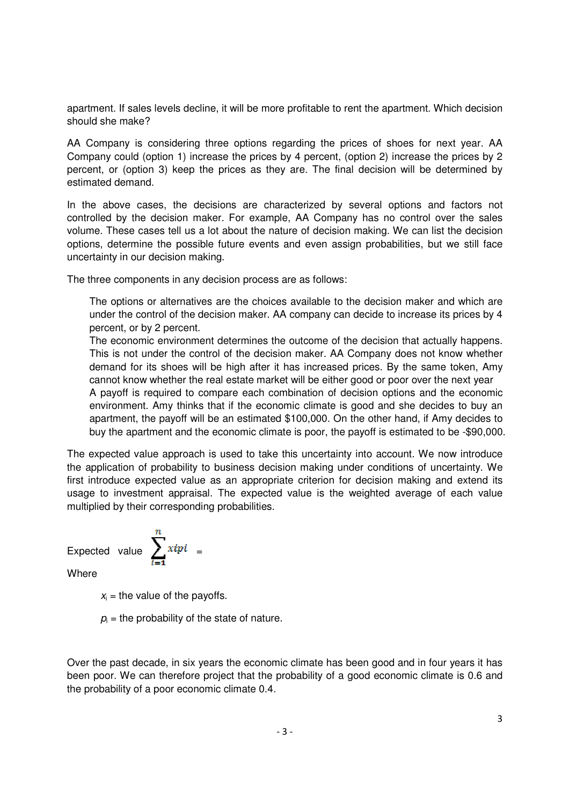apartment. If sales levels decline, it will be more profitable to rent the apartment. Which decision should she make?

AA Company is considering three options regarding the prices of shoes for next year. AA Company could (option 1) increase the prices by 4 percent, (option 2) increase the prices by 2 percent, or (option 3) keep the prices as they are. The final decision will be determined by estimated demand.

In the above cases, the decisions are characterized by several options and factors not controlled by the decision maker. For example, AA Company has no control over the sales volume. These cases tell us a lot about the nature of decision making. We can list the decision options, determine the possible future events and even assign probabilities, but we still face uncertainty in our decision making.

The three components in any decision process are as follows:

The options or alternatives are the choices available to the decision maker and which are under the control of the decision maker. AA company can decide to increase its prices by 4 percent, or by 2 percent.

The economic environment determines the outcome of the decision that actually happens. This is not under the control of the decision maker. AA Company does not know whether demand for its shoes will be high after it has increased prices. By the same token, Amy cannot know whether the real estate market will be either good or poor over the next year

A payoff is required to compare each combination of decision options and the economic environment. Amy thinks that if the economic climate is good and she decides to buy an apartment, the payoff will be an estimated \$100,000. On the other hand, if Amy decides to buy the apartment and the economic climate is poor, the payoff is estimated to be -\$90,000.

The expected value approach is used to take this uncertainty into account. We now introduce the application of probability to business decision making under conditions of uncertainty. We first introduce expected value as an appropriate criterion for decision making and extend its usage to investment appraisal. The expected value is the weighted average of each value multiplied by their corresponding probabilities.

Expected value 
$$
\sum_{i=1}^{n} xipi =
$$

**Where** 

 $x_i$  = the value of the payoffs.

 $p_i$  = the probability of the state of nature.

Over the past decade, in six years the economic climate has been good and in four years it has been poor. We can therefore project that the probability of a good economic climate is 0.6 and the probability of a poor economic climate 0.4.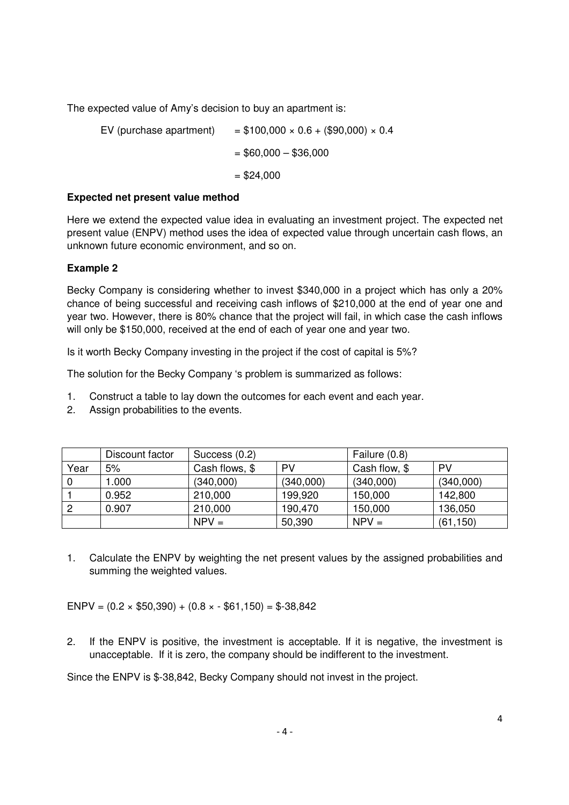The expected value of Amy's decision to buy an apartment is:

EV (purchase apartment) =  $$100,000 \times 0.6 + ($90,000) \times 0.4$  $= $60,000 - $36,000$  $= $24.000$ 

## **Expected net present value method**

Here we extend the expected value idea in evaluating an investment project. The expected net present value (ENPV) method uses the idea of expected value through uncertain cash flows, an unknown future economic environment, and so on.

# **Example 2**

Becky Company is considering whether to invest \$340,000 in a project which has only a 20% chance of being successful and receiving cash inflows of \$210,000 at the end of year one and year two. However, there is 80% chance that the project will fail, in which case the cash inflows will only be \$150,000, received at the end of each of year one and year two.

Is it worth Becky Company investing in the project if the cost of capital is 5%?

The solution for the Becky Company 's problem is summarized as follows:

- 1. Construct a table to lay down the outcomes for each event and each year.
- 2. Assign probabilities to the events.

|      | Discount factor | Success (0.2)  |           | Failure (0.8) |           |
|------|-----------------|----------------|-----------|---------------|-----------|
| Year | 5%              | Cash flows, \$ | PV        | Cash flow, \$ | <b>PV</b> |
| 0    | 1.000           | (340,000)      | (340,000) | (340,000)     | (340,000) |
|      | 0.952           | 210,000        | 199,920   | 150,000       | 142,800   |
| -2   | 0.907           | 210,000        | 190,470   | 150,000       | 136,050   |
|      |                 | $NPV =$        | 50,390    | $NPV =$       | (61, 150) |

1. Calculate the ENPV by weighting the net present values by the assigned probabilities and summing the weighted values.

ENPV =  $(0.2 \times $50,390) + (0.8 \times 561,150) = $38,842$ 

2. If the ENPV is positive, the investment is acceptable. If it is negative, the investment is unacceptable. If it is zero, the company should be indifferent to the investment.

Since the ENPV is \$-38,842, Becky Company should not invest in the project.